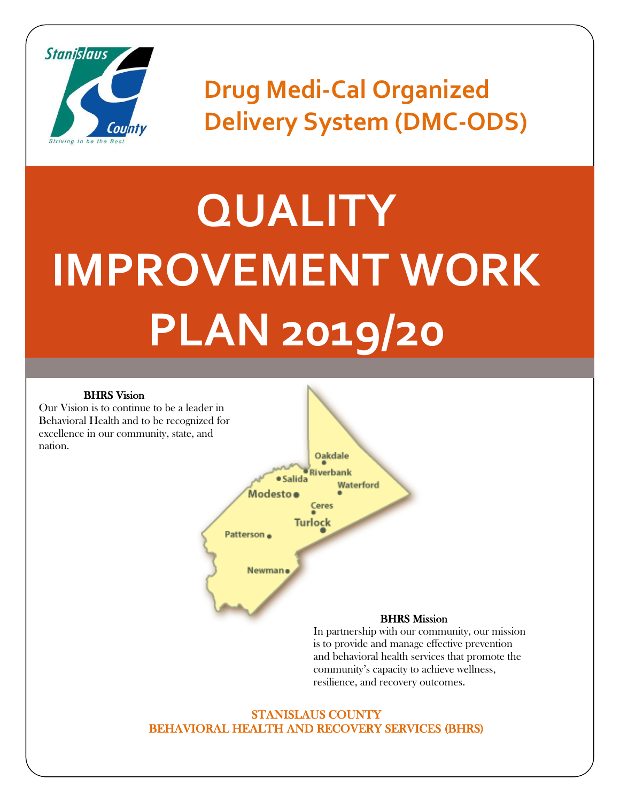

**Drug Medi-Cal Organized Delivery System (DMC-ODS)**

# **QUALITY IMPROVEMENT WORK PLAN 2019/20**

#### BHRS Vision

Our Vision is to continue to be a leader in Behavioral Health and to be recognized for excellence in our community, state, and nation.



In partnership with our community, our mission is to provide and manage effective prevention and behavioral health services that promote the community's capacity to achieve wellness, resilience, and recovery outcomes.

#### STANISLAUS COUNTY BEHAVIORAL HEALTH AND RECOVERY SERVICES (BHRS)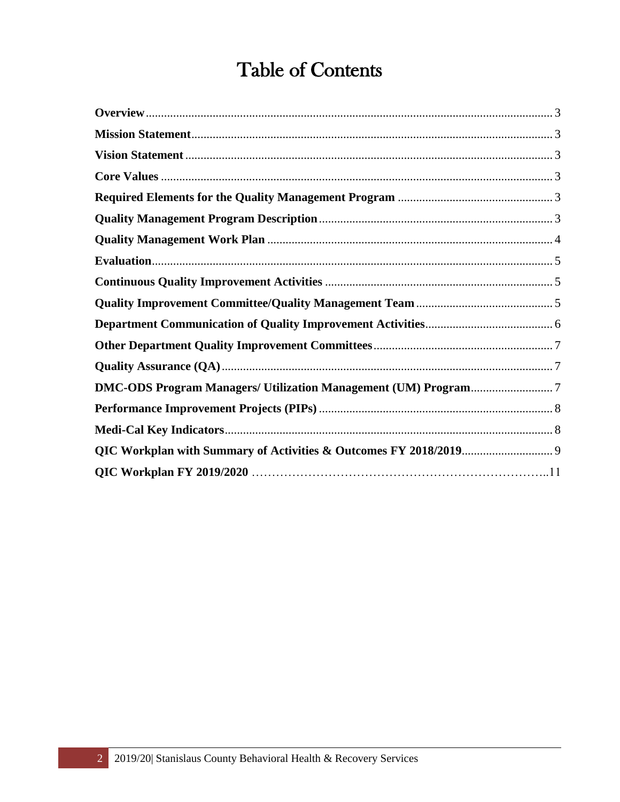# Table of Contents

<span id="page-1-0"></span>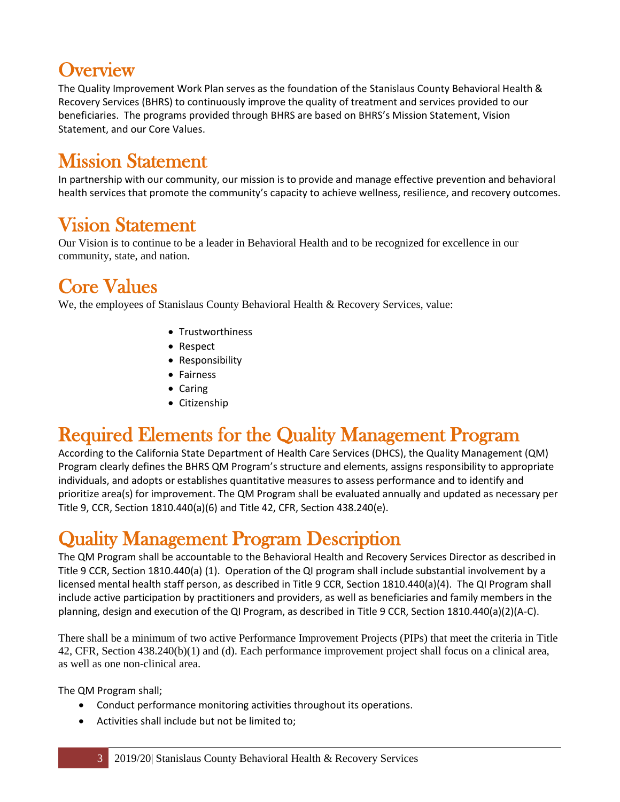## **Overview**

The Quality Improvement Work Plan serves as the foundation of the Stanislaus County Behavioral Health & Recovery Services (BHRS) to continuously improve the quality of treatment and services provided to our beneficiaries. The programs provided through BHRS are based on BHRS's Mission Statement, Vision Statement, and our Core Values.

#### <span id="page-2-0"></span>Mission Statement

In partnership with our community, our mission is to provide and manage effective prevention and behavioral health services that promote the community's capacity to achieve wellness, resilience, and recovery outcomes.

#### <span id="page-2-1"></span>Vision Statement

Our Vision is to continue to be a leader in Behavioral Health and to be recognized for excellence in our community, state, and nation.

### <span id="page-2-2"></span>Core Values

We, the employees of Stanislaus County Behavioral Health & Recovery Services, value:

- Trustworthiness
- Respect
- Responsibility
- Fairness
- Caring
- Citizenship

### <span id="page-2-3"></span>Required Elements for the Quality Management Program

According to the California State Department of Health Care Services (DHCS), the Quality Management (QM) Program clearly defines the BHRS QM Program's structure and elements, assigns responsibility to appropriate individuals, and adopts or establishes quantitative measures to assess performance and to identify and prioritize area(s) for improvement. The QM Program shall be evaluated annually and updated as necessary per Title 9, CCR, Section 1810.440(a)(6) and Title 42, CFR, Section 438.240(e).

#### <span id="page-2-4"></span>Quality Management Program Description

The QM Program shall be accountable to the Behavioral Health and Recovery Services Director as described in Title 9 CCR, Section 1810.440(a) (1). Operation of the QI program shall include substantial involvement by a licensed mental health staff person, as described in Title 9 CCR, Section 1810.440(a)(4). The QI Program shall include active participation by practitioners and providers, as well as beneficiaries and family members in the planning, design and execution of the QI Program, as described in Title 9 CCR, Section 1810.440(a)(2)(A-C).

There shall be a minimum of two active Performance Improvement Projects (PIPs) that meet the criteria in Title 42, CFR, Section 438.240(b)(1) and (d). Each performance improvement project shall focus on a clinical area, as well as one non-clinical area.

The QM Program shall;

- Conduct performance monitoring activities throughout its operations.
- Activities shall include but not be limited to;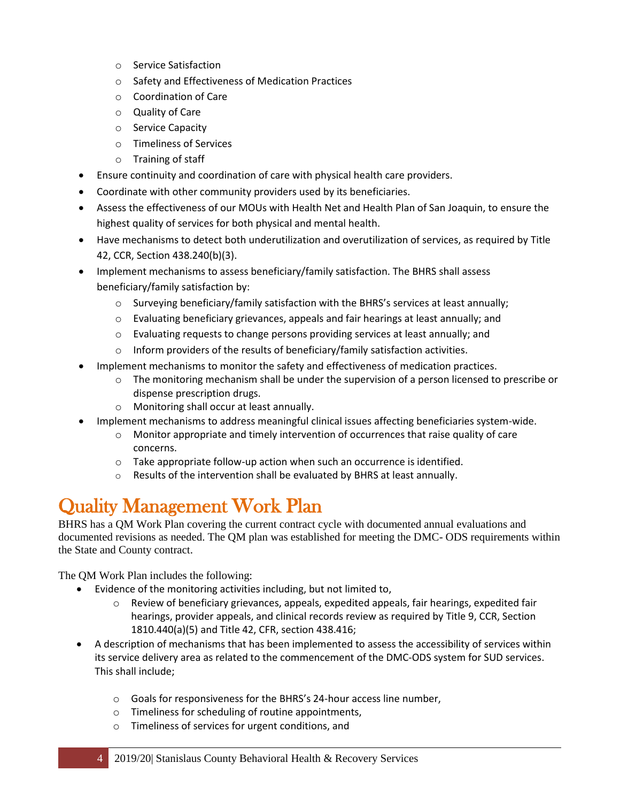- o Service Satisfaction
- o Safety and Effectiveness of Medication Practices
- o Coordination of Care
- o Quality of Care
- o Service Capacity
- o Timeliness of Services
- o Training of staff
- Ensure continuity and coordination of care with physical health care providers.
- Coordinate with other community providers used by its beneficiaries.
- Assess the effectiveness of our MOUs with Health Net and Health Plan of San Joaquin, to ensure the highest quality of services for both physical and mental health.
- Have mechanisms to detect both underutilization and overutilization of services, as required by Title 42, CCR, Section 438.240(b)(3).
- Implement mechanisms to assess beneficiary/family satisfaction. The BHRS shall assess beneficiary/family satisfaction by:
	- $\circ$  Surveying beneficiary/family satisfaction with the BHRS's services at least annually;
	- $\circ$  Evaluating beneficiary grievances, appeals and fair hearings at least annually; and
	- o Evaluating requests to change persons providing services at least annually; and
	- $\circ$  Inform providers of the results of beneficiary/family satisfaction activities.
- Implement mechanisms to monitor the safety and effectiveness of medication practices.
	- $\circ$  The monitoring mechanism shall be under the supervision of a person licensed to prescribe or dispense prescription drugs.
	- o Monitoring shall occur at least annually.
- Implement mechanisms to address meaningful clinical issues affecting beneficiaries system-wide.
	- $\circ$  Monitor appropriate and timely intervention of occurrences that raise quality of care concerns.
	- o Take appropriate follow-up action when such an occurrence is identified.
	- o Results of the intervention shall be evaluated by BHRS at least annually.

### <span id="page-3-0"></span>Quality Management Work Plan

BHRS has a QM Work Plan covering the current contract cycle with documented annual evaluations and documented revisions as needed. The QM plan was established for meeting the DMC- ODS requirements within the State and County contract.

The QM Work Plan includes the following:

- Evidence of the monitoring activities including, but not limited to,
	- $\circ$  Review of beneficiary grievances, appeals, expedited appeals, fair hearings, expedited fair hearings, provider appeals, and clinical records review as required by Title 9, CCR, Section 1810.440(a)(5) and Title 42, CFR, section 438.416;
- A description of mechanisms that has been implemented to assess the accessibility of services within its service delivery area as related to the commencement of the DMC-ODS system for SUD services. This shall include;
	- o Goals for responsiveness for the BHRS's 24-hour access line number,
	- o Timeliness for scheduling of routine appointments,
	- o Timeliness of services for urgent conditions, and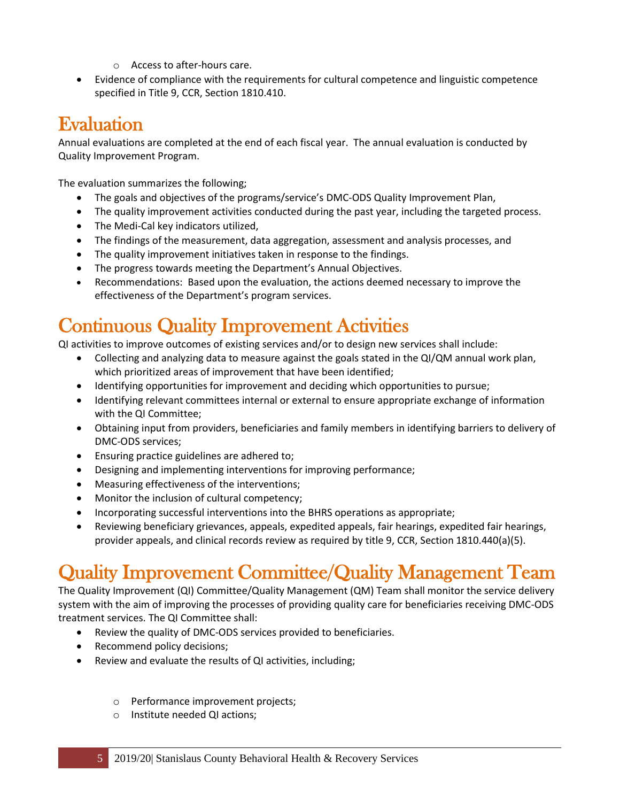- o Access to after-hours care.
- Evidence of compliance with the requirements for cultural competence and linguistic competence specified in Title 9, CCR, Section 1810.410.

#### <span id="page-4-0"></span>Evaluation

Annual evaluations are completed at the end of each fiscal year. The annual evaluation is conducted by Quality Improvement Program.

The evaluation summarizes the following;

- The goals and objectives of the programs/service's DMC-ODS Quality Improvement Plan,
- The quality improvement activities conducted during the past year, including the targeted process.
- The Medi-Cal key indicators utilized,
- The findings of the measurement, data aggregation, assessment and analysis processes, and
- The quality improvement initiatives taken in response to the findings.
- The progress towards meeting the Department's Annual Objectives.
- Recommendations: Based upon the evaluation, the actions deemed necessary to improve the effectiveness of the Department's program services.

### <span id="page-4-1"></span>Continuous Quality Improvement Activities

QI activities to improve outcomes of existing services and/or to design new services shall include:

- Collecting and analyzing data to measure against the goals stated in the QI/QM annual work plan, which prioritized areas of improvement that have been identified;
- Identifying opportunities for improvement and deciding which opportunities to pursue;
- Identifying relevant committees internal or external to ensure appropriate exchange of information with the QI Committee;
- Obtaining input from providers, beneficiaries and family members in identifying barriers to delivery of DMC-ODS services;
- Ensuring practice guidelines are adhered to;
- Designing and implementing interventions for improving performance;
- Measuring effectiveness of the interventions;
- Monitor the inclusion of cultural competency;
- Incorporating successful interventions into the BHRS operations as appropriate;
- Reviewing beneficiary grievances, appeals, expedited appeals, fair hearings, expedited fair hearings, provider appeals, and clinical records review as required by title 9, CCR, Section 1810.440(a)(5).

### <span id="page-4-2"></span>Quality Improvement Committee/Quality Management Team

The Quality Improvement (QI) Committee/Quality Management (QM) Team shall monitor the service delivery system with the aim of improving the processes of providing quality care for beneficiaries receiving DMC-ODS treatment services. The QI Committee shall:

- Review the quality of DMC-ODS services provided to beneficiaries.
- Recommend policy decisions;
- Review and evaluate the results of QI activities, including;
	- o Performance improvement projects;
	- o Institute needed QI actions;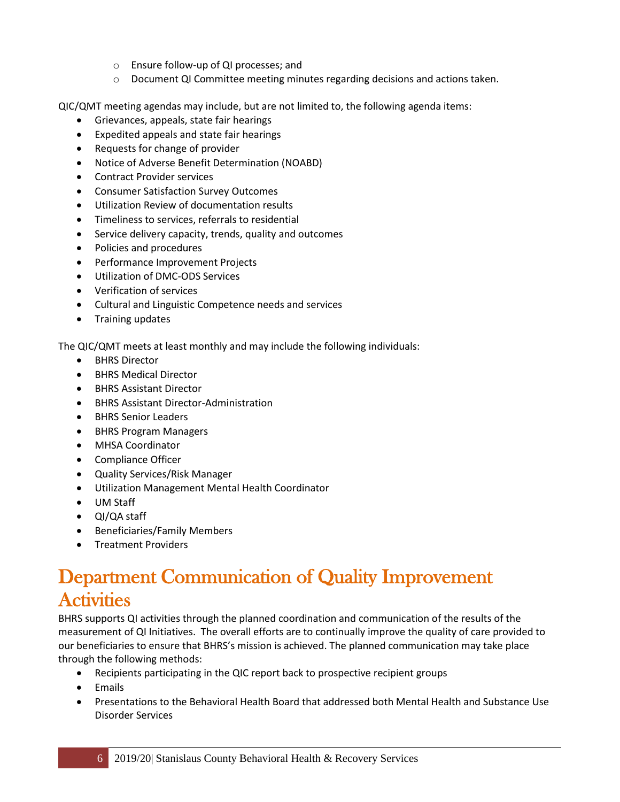- o Ensure follow-up of QI processes; and
- o Document QI Committee meeting minutes regarding decisions and actions taken.

QIC/QMT meeting agendas may include, but are not limited to, the following agenda items:

- Grievances, appeals, state fair hearings
- Expedited appeals and state fair hearings
- Requests for change of provider
- Notice of Adverse Benefit Determination (NOABD)
- Contract Provider services
- Consumer Satisfaction Survey Outcomes
- Utilization Review of documentation results
- Timeliness to services, referrals to residential
- Service delivery capacity, trends, quality and outcomes
- Policies and procedures
- Performance Improvement Projects
- Utilization of DMC-ODS Services
- Verification of services
- Cultural and Linguistic Competence needs and services
- Training updates

The QIC/QMT meets at least monthly and may include the following individuals:

- BHRS Director
- BHRS Medical Director
- BHRS Assistant Director
- BHRS Assistant Director-Administration
- BHRS Senior Leaders
- BHRS Program Managers
- MHSA Coordinator
- Compliance Officer
- Quality Services/Risk Manager
- Utilization Management Mental Health Coordinator
- UM Staff
- QI/QA staff
- Beneficiaries/Family Members
- Treatment Providers

#### <span id="page-5-0"></span>Department Communication of Quality Improvement **Activities**

BHRS supports QI activities through the planned coordination and communication of the results of the measurement of QI Initiatives. The overall efforts are to continually improve the quality of care provided to our beneficiaries to ensure that BHRS's mission is achieved. The planned communication may take place through the following methods:

- Recipients participating in the QIC report back to prospective recipient groups
- Emails
- Presentations to the Behavioral Health Board that addressed both Mental Health and Substance Use Disorder Services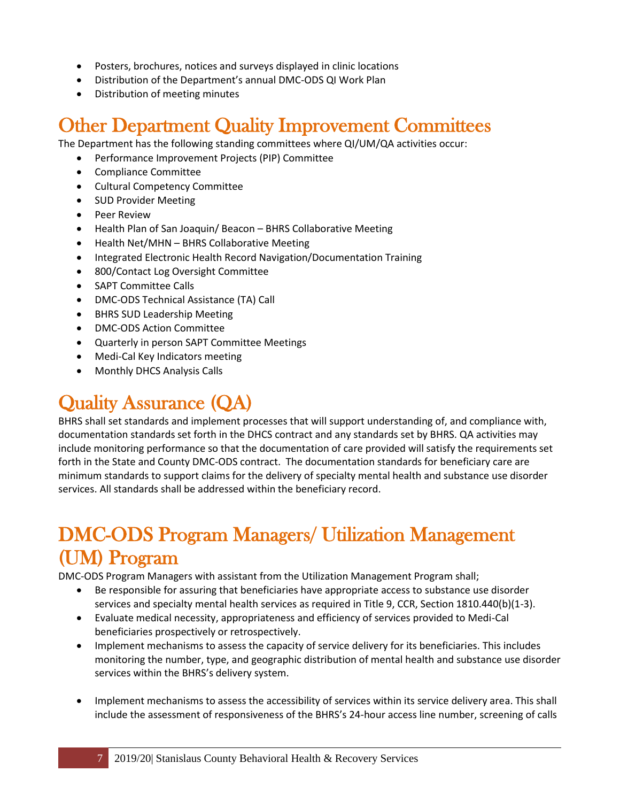- Posters, brochures, notices and surveys displayed in clinic locations
- Distribution of the Department's annual DMC-ODS QI Work Plan
- Distribution of meeting minutes

#### <span id="page-6-0"></span>Other Department Quality Improvement Committees

The Department has the following standing committees where QI/UM/QA activities occur:

- Performance Improvement Projects (PIP) Committee
- Compliance Committee
- Cultural Competency Committee
- SUD Provider Meeting
- Peer Review
- Health Plan of San Joaquin/ Beacon BHRS Collaborative Meeting
- Health Net/MHN BHRS Collaborative Meeting
- Integrated Electronic Health Record Navigation/Documentation Training
- 800/Contact Log Oversight Committee
- SAPT Committee Calls
- DMC-ODS Technical Assistance (TA) Call
- BHRS SUD Leadership Meeting
- DMC-ODS Action Committee
- Quarterly in person SAPT Committee Meetings
- Medi-Cal Key Indicators meeting
- Monthly DHCS Analysis Calls

### <span id="page-6-1"></span>Quality Assurance (QA)

BHRS shall set standards and implement processes that will support understanding of, and compliance with, documentation standards set forth in the DHCS contract and any standards set by BHRS. QA activities may include monitoring performance so that the documentation of care provided will satisfy the requirements set forth in the State and County DMC-ODS contract. The documentation standards for beneficiary care are minimum standards to support claims for the delivery of specialty mental health and substance use disorder services. All standards shall be addressed within the beneficiary record.

#### <span id="page-6-2"></span>DMC-ODS Program Managers/ Utilization Management (UM) Program

DMC-ODS Program Managers with assistant from the Utilization Management Program shall;

- Be responsible for assuring that beneficiaries have appropriate access to substance use disorder services and specialty mental health services as required in Title 9, CCR, Section 1810.440(b)(1-3).
- Evaluate medical necessity, appropriateness and efficiency of services provided to Medi-Cal beneficiaries prospectively or retrospectively.
- Implement mechanisms to assess the capacity of service delivery for its beneficiaries. This includes monitoring the number, type, and geographic distribution of mental health and substance use disorder services within the BHRS's delivery system.
- Implement mechanisms to assess the accessibility of services within its service delivery area. This shall include the assessment of responsiveness of the BHRS's 24-hour access line number, screening of calls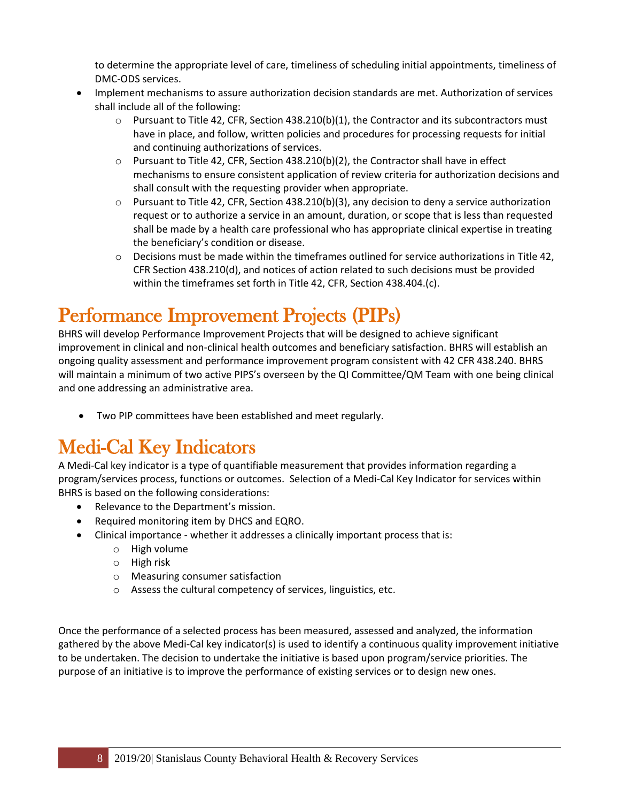to determine the appropriate level of care, timeliness of scheduling initial appointments, timeliness of DMC-ODS services.

- Implement mechanisms to assure authorization decision standards are met. Authorization of services shall include all of the following:
	- $\circ$  Pursuant to Title 42, CFR, Section 438.210(b)(1), the Contractor and its subcontractors must have in place, and follow, written policies and procedures for processing requests for initial and continuing authorizations of services.
	- $\circ$  Pursuant to Title 42, CFR, Section 438.210(b)(2), the Contractor shall have in effect mechanisms to ensure consistent application of review criteria for authorization decisions and shall consult with the requesting provider when appropriate.
	- $\circ$  Pursuant to Title 42, CFR, Section 438.210(b)(3), any decision to deny a service authorization request or to authorize a service in an amount, duration, or scope that is less than requested shall be made by a health care professional who has appropriate clinical expertise in treating the beneficiary's condition or disease.
	- $\circ$  Decisions must be made within the timeframes outlined for service authorizations in Title 42, CFR Section 438.210(d), and notices of action related to such decisions must be provided within the timeframes set forth in Title 42, CFR, Section 438.404.(c).

# <span id="page-7-0"></span>Performance Improvement Projects (PIPs)

BHRS will develop Performance Improvement Projects that will be designed to achieve significant improvement in clinical and non-clinical health outcomes and beneficiary satisfaction. BHRS will establish an ongoing quality assessment and performance improvement program consistent with 42 CFR 438.240. BHRS will maintain a minimum of two active PIPS's overseen by the QI Committee/QM Team with one being clinical and one addressing an administrative area.

• Two PIP committees have been established and meet regularly.

# <span id="page-7-1"></span>Medi-Cal Key Indicators

A Medi-Cal key indicator is a type of quantifiable measurement that provides information regarding a program/services process, functions or outcomes. Selection of a Medi-Cal Key Indicator for services within BHRS is based on the following considerations:

- Relevance to the Department's mission.
- Required monitoring item by DHCS and EQRO.
- Clinical importance whether it addresses a clinically important process that is:
	- o High volume
	- o High risk
	- o Measuring consumer satisfaction
	- o Assess the cultural competency of services, linguistics, etc.

Once the performance of a selected process has been measured, assessed and analyzed, the information gathered by the above Medi-Cal key indicator(s) is used to identify a continuous quality improvement initiative to be undertaken. The decision to undertake the initiative is based upon program/service priorities. The purpose of an initiative is to improve the performance of existing services or to design new ones.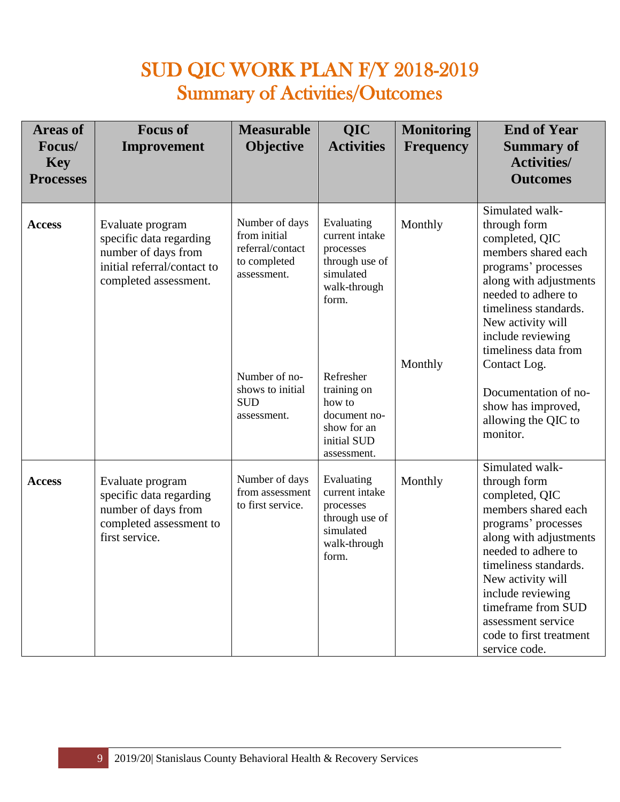## SUD QIC WORK PLAN F/Y 2018-2019 Summary of Activities/Outcomes

| <b>Areas of</b><br>Focus/<br><b>Key</b><br><b>Processes</b> | <b>Focus of</b><br>Improvement                                                                                             | <b>Measurable</b><br><b>Objective</b>                                                                                                               | <b>QIC</b><br><b>Activities</b>                                                                                                                                                                      | <b>Monitoring</b><br><b>Frequency</b> | <b>End of Year</b><br><b>Summary of</b><br><b>Activities/</b><br><b>Outcomes</b>                                                                                                                                                                                                                                                             |
|-------------------------------------------------------------|----------------------------------------------------------------------------------------------------------------------------|-----------------------------------------------------------------------------------------------------------------------------------------------------|------------------------------------------------------------------------------------------------------------------------------------------------------------------------------------------------------|---------------------------------------|----------------------------------------------------------------------------------------------------------------------------------------------------------------------------------------------------------------------------------------------------------------------------------------------------------------------------------------------|
| <b>Access</b>                                               | Evaluate program<br>specific data regarding<br>number of days from<br>initial referral/contact to<br>completed assessment. | Number of days<br>from initial<br>referral/contact<br>to completed<br>assessment.<br>Number of no-<br>shows to initial<br><b>SUD</b><br>assessment. | Evaluating<br>current intake<br>processes<br>through use of<br>simulated<br>walk-through<br>form.<br>Refresher<br>training on<br>how to<br>document no-<br>show for an<br>initial SUD<br>assessment. | Monthly<br>Monthly                    | Simulated walk-<br>through form<br>completed, QIC<br>members shared each<br>programs' processes<br>along with adjustments<br>needed to adhere to<br>timeliness standards.<br>New activity will<br>include reviewing<br>timeliness data from<br>Contact Log.<br>Documentation of no-<br>show has improved,<br>allowing the QIC to<br>monitor. |
| <b>Access</b>                                               | Evaluate program<br>specific data regarding<br>number of days from<br>completed assessment to<br>first service.            | Number of days<br>from assessment<br>to first service.                                                                                              | Evaluating<br>current intake<br>processes<br>through use of<br>simulated<br>walk-through<br>form.                                                                                                    | Monthly                               | Simulated walk-<br>through form<br>completed, QIC<br>members shared each<br>programs' processes<br>along with adjustments<br>needed to adhere to<br>timeliness standards.<br>New activity will<br>include reviewing<br>timeframe from SUD<br>assessment service<br>code to first treatment<br>service code.                                  |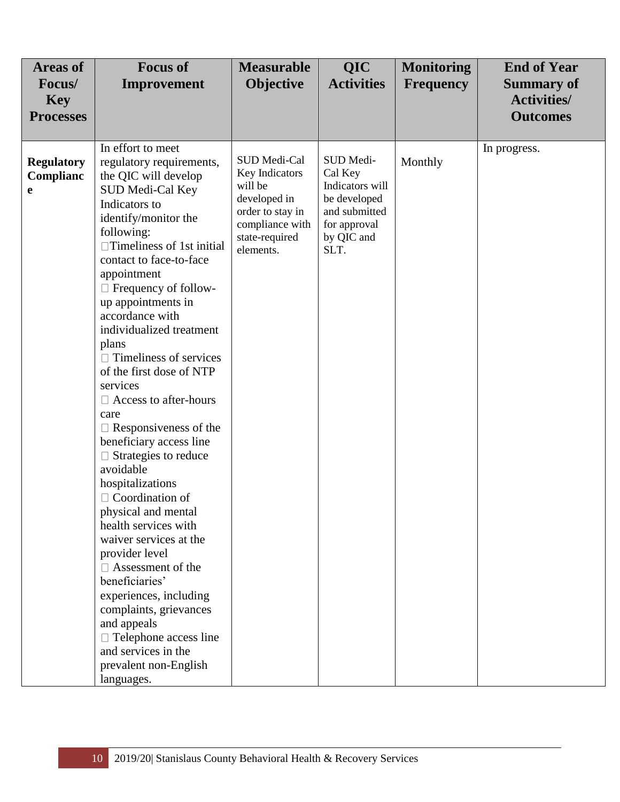| <b>Areas of</b><br>Focus/<br><b>Key</b><br><b>Processes</b> | <b>Focus of</b><br>Improvement                                                                                                                                                                                                                                                                                                                                                                                                                                                                                                                                                                                                                                                                                                                                                                                                                                                                                              | <b>Measurable</b><br><b>Objective</b>                                                                                           | QIC<br><b>Activities</b>                                                                                       | <b>Monitoring</b><br><b>Frequency</b> | <b>End of Year</b><br><b>Summary of</b><br><b>Activities/</b><br><b>Outcomes</b> |
|-------------------------------------------------------------|-----------------------------------------------------------------------------------------------------------------------------------------------------------------------------------------------------------------------------------------------------------------------------------------------------------------------------------------------------------------------------------------------------------------------------------------------------------------------------------------------------------------------------------------------------------------------------------------------------------------------------------------------------------------------------------------------------------------------------------------------------------------------------------------------------------------------------------------------------------------------------------------------------------------------------|---------------------------------------------------------------------------------------------------------------------------------|----------------------------------------------------------------------------------------------------------------|---------------------------------------|----------------------------------------------------------------------------------|
| <b>Regulatory</b><br>Complianc<br>e                         | In effort to meet<br>regulatory requirements,<br>the QIC will develop<br>SUD Medi-Cal Key<br>Indicators to<br>identify/monitor the<br>following:<br>$\Box$ Timeliness of 1st initial<br>contact to face-to-face<br>appointment<br>$\Box$ Frequency of follow-<br>up appointments in<br>accordance with<br>individualized treatment<br>plans<br>$\Box$ Timeliness of services<br>of the first dose of NTP<br>services<br>$\Box$ Access to after-hours<br>care<br>$\Box$ Responsiveness of the<br>beneficiary access line<br>$\Box$ Strategies to reduce<br>avoidable<br>hospitalizations<br>$\Box$ Coordination of<br>physical and mental<br>health services with<br>waiver services at the<br>provider level<br>$\Box$ Assessment of the<br>beneficiaries'<br>experiences, including<br>complaints, grievances<br>and appeals<br>$\Box$ Telephone access line<br>and services in the<br>prevalent non-English<br>languages. | SUD Medi-Cal<br>Key Indicators<br>will be<br>developed in<br>order to stay in<br>compliance with<br>state-required<br>elements. | SUD Medi-<br>Cal Key<br>Indicators will<br>be developed<br>and submitted<br>for approval<br>by QIC and<br>SLT. | Monthly                               | In progress.                                                                     |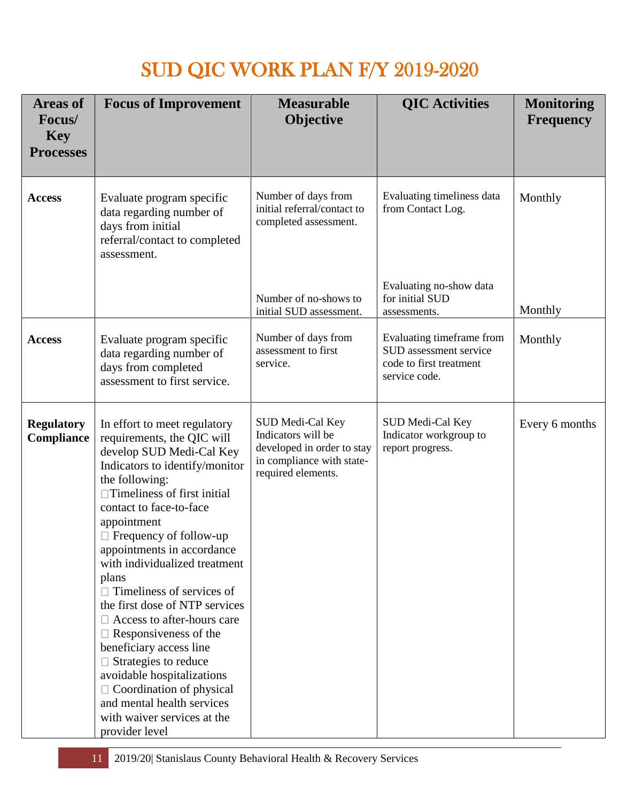# SUD QIC WORK PLAN F/Y 2019-2020

| <b>Areas of</b><br>Focus/<br><b>Key</b><br><b>Processes</b> | <b>Focus of Improvement</b>                                                                                                                                                                                                                                                                                                                                                                                                                                                                                                                                                                                                                                                       | <b>Measurable</b><br><b>Objective</b>                                                                                          | <b>QIC</b> Activities                                                                           | <b>Monitoring</b><br><b>Frequency</b> |
|-------------------------------------------------------------|-----------------------------------------------------------------------------------------------------------------------------------------------------------------------------------------------------------------------------------------------------------------------------------------------------------------------------------------------------------------------------------------------------------------------------------------------------------------------------------------------------------------------------------------------------------------------------------------------------------------------------------------------------------------------------------|--------------------------------------------------------------------------------------------------------------------------------|-------------------------------------------------------------------------------------------------|---------------------------------------|
| <b>Access</b>                                               | Evaluate program specific<br>data regarding number of<br>days from initial<br>referral/contact to completed<br>assessment.                                                                                                                                                                                                                                                                                                                                                                                                                                                                                                                                                        | Number of days from<br>initial referral/contact to<br>completed assessment.                                                    | Evaluating timeliness data<br>from Contact Log.                                                 | Monthly                               |
|                                                             |                                                                                                                                                                                                                                                                                                                                                                                                                                                                                                                                                                                                                                                                                   | Number of no-shows to<br>initial SUD assessment.                                                                               | Evaluating no-show data<br>for initial SUD<br>assessments.                                      | Monthly                               |
| <b>Access</b>                                               | Evaluate program specific<br>data regarding number of<br>days from completed<br>assessment to first service.                                                                                                                                                                                                                                                                                                                                                                                                                                                                                                                                                                      | Number of days from<br>assessment to first<br>service.                                                                         | Evaluating timeframe from<br>SUD assessment service<br>code to first treatment<br>service code. | Monthly                               |
| <b>Regulatory</b><br>Compliance                             | In effort to meet regulatory<br>requirements, the QIC will<br>develop SUD Medi-Cal Key<br>Indicators to identify/monitor<br>the following:<br>$\Box$ Timeliness of first initial<br>contact to face-to-face<br>appointment<br>$\Box$ Frequency of follow-up<br>appointments in accordance<br>with individualized treatment<br>plans<br>$\Box$ Timeliness of services of<br>the first dose of NTP services<br>$\Box$ Access to after-hours care<br>Responsiveness of the<br>beneficiary access line<br>$\Box$ Strategies to reduce<br>avoidable hospitalizations<br>$\Box$ Coordination of physical<br>and mental health services<br>with waiver services at the<br>provider level | <b>SUD Medi-Cal Key</b><br>Indicators will be<br>developed in order to stay<br>in compliance with state-<br>required elements. | SUD Medi-Cal Key<br>Indicator workgroup to<br>report progress.                                  | Every 6 months                        |